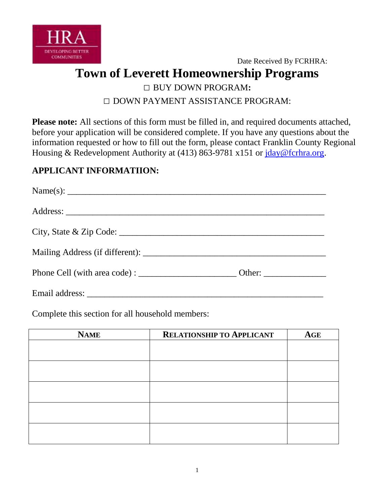

Date Received By FCRHRA: **Town of Leverett Homeownership Programs** □ BUY DOWN PROGRAM**:**  □ DOWN PAYMENT ASSISTANCE PROGRAM:

**Please note:** All sections of this form must be filled in, and required documents attached, before your application will be considered complete. If you have any questions about the information requested or how to fill out the form, please contact Franklin County Regional Housing & Redevelopment Authority at (413) 863-9781 x151 or [jday@fcrhra.org.](mailto:jday@fcrhra.org)

# **APPLICANT INFORMATIION:**

| Name(s): $\qquad \qquad$ |  |
|--------------------------|--|
|                          |  |
|                          |  |
|                          |  |
|                          |  |
|                          |  |

Complete this section for all household members:

| <b>NAME</b> | <b>RELATIONSHIP TO APPLICANT</b> | AGE |
|-------------|----------------------------------|-----|
|             |                                  |     |
|             |                                  |     |
|             |                                  |     |
|             |                                  |     |
|             |                                  |     |
|             |                                  |     |
|             |                                  |     |
|             |                                  |     |
|             |                                  |     |
|             |                                  |     |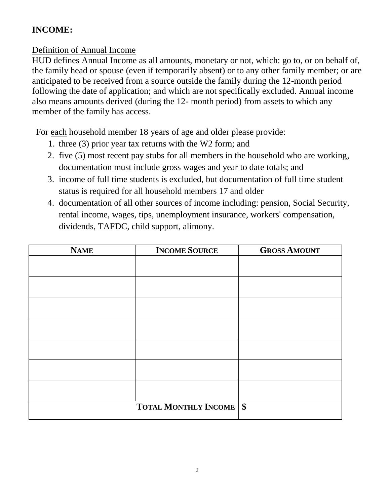# **INCOME:**

# Definition of Annual Income

HUD defines Annual Income as all amounts, monetary or not, which: go to, or on behalf of, the family head or spouse (even if temporarily absent) or to any other family member; or are anticipated to be received from a source outside the family during the 12-month period following the date of application; and which are not specifically excluded. Annual income also means amounts derived (during the 12- month period) from assets to which any member of the family has access.

For each household member 18 years of age and older please provide:

- 1. three (3) prior year tax returns with the W2 form; and
- 2. five (5) most recent pay stubs for all members in the household who are working, documentation must include gross wages and year to date totals; and
- 3. income of full time students is excluded, but documentation of full time student status is required for all household members 17 and older
- 4. documentation of all other sources of income including: pension, Social Security, rental income, wages, tips, unemployment insurance, workers' compensation, dividends, TAFDC, child support, alimony.

| <b>NAME</b> | <b>INCOME SOURCE</b>        | <b>GROSS AMOUNT</b> |
|-------------|-----------------------------|---------------------|
|             |                             |                     |
|             |                             |                     |
|             |                             |                     |
|             |                             |                     |
|             |                             |                     |
|             |                             |                     |
|             |                             |                     |
|             |                             |                     |
|             |                             |                     |
|             |                             |                     |
|             |                             |                     |
|             |                             |                     |
|             |                             |                     |
|             | <b>TOTAL MONTHLY INCOME</b> | $\$\$               |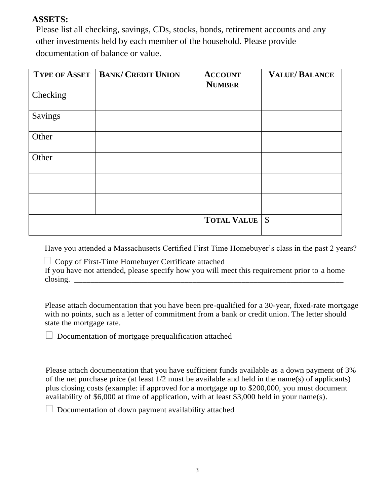# **ASSETS:**

Please list all checking, savings, CDs, stocks, bonds, retirement accounts and any other investments held by each member of the household. Please provide documentation of balance or value.

| <b>TYPE OF ASSET</b> | <b>BANK/ CREDIT UNION</b> | <b>ACCOUNT</b><br><b>NUMBER</b> | <b>VALUE/BALANCE</b> |
|----------------------|---------------------------|---------------------------------|----------------------|
| Checking             |                           |                                 |                      |
| Savings              |                           |                                 |                      |
| Other                |                           |                                 |                      |
| Other                |                           |                                 |                      |
|                      |                           |                                 |                      |
|                      |                           |                                 |                      |
|                      |                           | <b>TOTAL VALUE</b>              | $\sqrt{S}$           |

Have you attended a Massachusetts Certified First Time Homebuyer's class in the past 2 years?

 $\Box$  Copy of First-Time Homebuyer Certificate attached

If you have not attended, please specify how you will meet this requirement prior to a home  $\text{closing.}$ 

Please attach documentation that you have been pre-qualified for a 30-year, fixed-rate mortgage with no points, such as a letter of commitment from a bank or credit union. The letter should state the mortgage rate.

 $\Box$  Documentation of mortgage prequalification attached

Please attach documentation that you have sufficient funds available as a down payment of 3% of the net purchase price (at least 1/2 must be available and held in the name(s) of applicants) plus closing costs (example: if approved for a mortgage up to \$200,000, you must document availability of \$6,000 at time of application, with at least \$3,000 held in your name(s).

 $\Box$  Documentation of down payment availability attached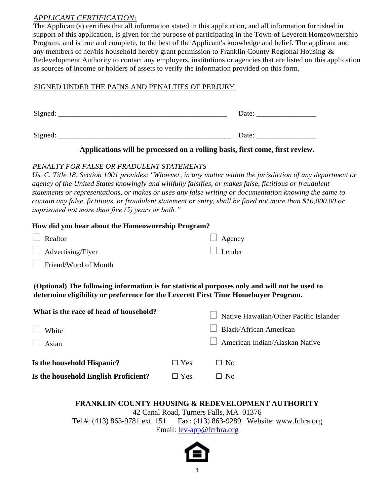### *APPLICANT CERTIFICATION:*

The Applicant(s) certifies that all information stated in this application, and all information furnished in support of this application, is given for the purpose of participating in the Town of Leverett Homeownership Program, and is true and complete, to the best of the Applicant's knowledge and belief. The applicant and any members of her/his household hereby grant permission to Franklin County Regional Housing  $\&$ Redevelopment Authority to contact any employers, institutions or agencies that are listed on this application as sources of income or holders of assets to verify the information provided on this form.

### SIGNED UNDER THE PAINS AND PENALTIES OF PERJURY

| Signed: | Date: |
|---------|-------|
| Signed: | Date: |

### **Applications will be processed on a rolling basis, first come, first review.**

### *PENALTY FOR FALSE OR FRADULENT STATEMENTS*

*Us. C. Title 18, Section 1001 provides: "Whoever, in any matter within the jurisdiction of any department or agency of the United States knowingly and willfully falsifies, or makes false, fictitious or fraudulent statements or representations, or makes or uses any false writing or documentation knowing the same to contain any false, fictitious, or fraudulent statement or entry, shall be fined not more than \$10,000.00 or imprisoned not more than five (5) years or both."* 

### **How did you hear about the Homeownership Program?**

| $\Box$ Realtor           | $\Box$ Agency |
|--------------------------|---------------|
| $\Box$ Advertising/Flyer | $\Box$ Lender |

 $\Box$  Friend/Word of Mouth

**(Optional) The following information is for statistical purposes only and will not be used to determine eligibility or preference for the Leverett First Time Homebuyer Program.** 

| What is the race of head of household? |            | Native Hawaiian/Other Pacific Islander |
|----------------------------------------|------------|----------------------------------------|
| $\Box$ White                           |            | $\Box$ Black/African American          |
| $\Box$ Asian                           |            | $\Box$ American Indian/Alaskan Native  |
| Is the household Hispanic?             | $\Box$ Yes | $\Box$ No                              |
| Is the household English Proficient?   | $\Box$ Yes | $\Box$ No                              |

# **FRANKLIN COUNTY HOUSING & REDEVELOPMENT AUTHORITY**

42 Canal Road, Turners Falls, MA 01376 Tel.#: (413) 863-9781 ext. 151 Fax: (413) 863-9289 Website: www.fchra.org Email: <u>lev-app@fcrhra.org</u>